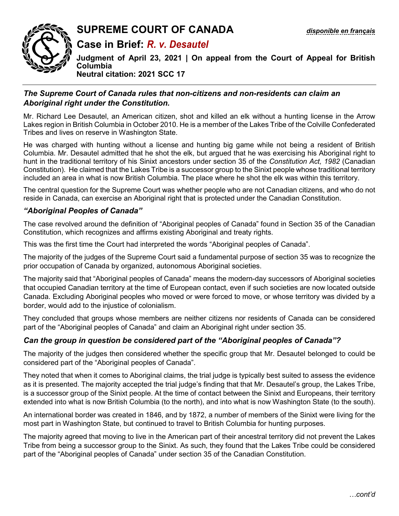

# **SUPREME COURT OF CANADA** *[disponible en français](https://www.scc-csc.ca/case-dossier/cb/2021/38663-38781-39116-fra.pdf)*

**Case in Brief:** *R. v. Desautel* 

**Judgment of April 23, 2021 | On appeal from the Court of Appeal for British Columbia Neutral citation: 2021 SCC 17** 

## *The Supreme Court of Canada rules that non-citizens and non-residents can claim an Aboriginal right under the Constitution.*

Mr. Richard Lee Desautel, an American citizen, shot and killed an elk without a hunting license in the Arrow Lakes region in British Columbia in October 2010. He is a member of the Lakes Tribe of the Colville Confederated Tribes and lives on reserve in Washington State.

He was charged with hunting without a license and hunting big game while not being a resident of British Columbia. Mr. Desautel admitted that he shot the elk, but argued that he was exercising his Aboriginal right to hunt in the traditional territory of his Sinixt ancestors under section 35 of the *Constitution Act, 1982* (Canadian Constitution). He claimed that the Lakes Tribe is a successor group to the Sinixt people whose traditional territory included an area in what is now British Columbia. The place where he shot the elk was within this territory.

The central question for the Supreme Court was whether people who are not Canadian citizens, and who do not reside in Canada, can exercise an Aboriginal right that is protected under the Canadian Constitution.

## *"Aboriginal Peoples of Canada"*

The case revolved around the definition of "Aboriginal peoples of Canada" found in Section 35 of the Canadian Constitution, which recognizes and affirms existing Aboriginal and treaty rights.

This was the first time the Court had interpreted the words "Aboriginal peoples of Canada".

The majority of the judges of the Supreme Court said a fundamental purpose of section 35 was to recognize the prior occupation of Canada by organized, autonomous Aboriginal societies.

The majority said that "Aboriginal peoples of Canada" means the modern-day successors of Aboriginal societies that occupied Canadian territory at the time of European contact, even if such societies are now located outside Canada. Excluding Aboriginal peoples who moved or were forced to move, or whose territory was divided by a border, would add to the injustice of colonialism.

They concluded that groups whose members are neither citizens nor residents of Canada can be considered part of the "Aboriginal peoples of Canada" and claim an Aboriginal right under section 35.

## *Can the group in question be considered part of the "Aboriginal peoples of Canada"?*

The majority of the judges then considered whether the specific group that Mr. Desautel belonged to could be considered part of the "Aboriginal peoples of Canada".

They noted that when it comes to Aboriginal claims, the trial judge is typically best suited to assess the evidence as it is presented. The majority accepted the trial judge's finding that that Mr. Desautel's group, the Lakes Tribe, is a successor group of the Sinixt people. At the time of contact between the Sinixt and Europeans, their territory extended into what is now British Columbia (to the north), and into what is now Washington State (to the south).

An international border was created in 1846, and by 1872, a number of members of the Sinixt were living for the most part in Washington State, but continued to travel to British Columbia for hunting purposes.

The majority agreed that moving to live in the American part of their ancestral territory did not prevent the Lakes Tribe from being a successor group to the Sinixt. As such, they found that the Lakes Tribe could be considered part of the "Aboriginal peoples of Canada" under section 35 of the Canadian Constitution.